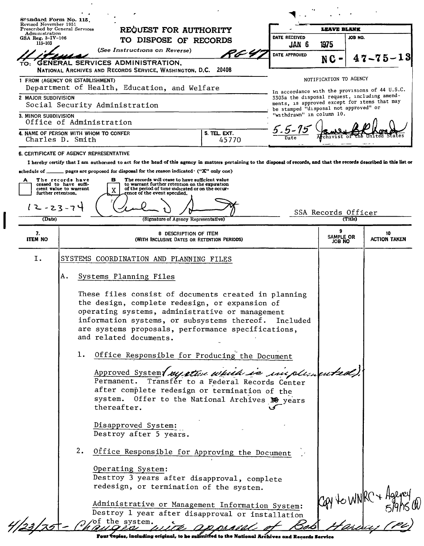| Revised November 1951<br>Administration | Prescribed by General Services                                                                                                                                            | REQUEST FOR AUTHORITY<br>TO DISPOSE OF RECORDS                                                       |                           | <b>LEAVE BLANK</b><br>DATE RECEIVED                                                            |                     |  |
|-----------------------------------------|---------------------------------------------------------------------------------------------------------------------------------------------------------------------------|------------------------------------------------------------------------------------------------------|---------------------------|------------------------------------------------------------------------------------------------|---------------------|--|
| GSA Reg. $3 - IV - 106$<br>115-103      |                                                                                                                                                                           |                                                                                                      |                           | JOB NO.<br>1975                                                                                |                     |  |
|                                         | (See Instructions on Reverse)                                                                                                                                             | PG 4                                                                                                 | JAN 6.<br>DATE APPROVED   |                                                                                                |                     |  |
| то:                                     | <b>GENERAL SERVICES ADMINISTRATION,</b><br>NATIONAL ARCHIVES AND RECORDS SERVICE, WASHINGTON, D.C.                                                                        | 20408                                                                                                |                           | NC-                                                                                            | $47 - 75 - 13$      |  |
|                                         | 1 FROM (AGENCY OR ESTABLISHMENT)                                                                                                                                          |                                                                                                      |                           | NOTIFICATION TO AGENCY                                                                         |                     |  |
| 2 MAJOR SUBDIVISION                     | Department of Health, Education, and Welfare                                                                                                                              |                                                                                                      |                           | In accordance with the provisions of 44 U.S.C.<br>3303a the disposal request, including amend- |                     |  |
|                                         | Social Security Administration                                                                                                                                            |                                                                                                      |                           | ments, is approved except for items that may<br>be stamped "disposal not approved" or          |                     |  |
| 3. MINOR SUBDIVISION                    | Office of Administration                                                                                                                                                  |                                                                                                      | "withdrawn" in column 10. |                                                                                                |                     |  |
|                                         | 4. NAME OF PERSON WITH WHOM TO CONFER<br>Charles D. Smith                                                                                                                 | 5. TEL. EXT.                                                                                         | Date                      |                                                                                                |                     |  |
|                                         | <b>6. CERTIFICATE OF AGENCY REPRESENTATIVE</b>                                                                                                                            | 45770                                                                                                |                           |                                                                                                |                     |  |
|                                         | I hereby certify that I am authorized to act for the head of this agency in matters pertaining to the disposal of records, and that the records described in this list or |                                                                                                      |                           |                                                                                                |                     |  |
| A                                       | schedule of ________ pages are proposed for disposal for the reason indicated · ("X" only one)<br>The records have<br>в                                                   | The records will cease to have sufficient value                                                      |                           |                                                                                                |                     |  |
| further retention.                      | ceased to have suffi-<br>cient value to warrant<br>X<br>ence of the event specified.                                                                                      | to warrant further retention on the expiration<br>of the period of time indicated or on the occur-   |                           |                                                                                                |                     |  |
| $12 - 23 - 74$                          |                                                                                                                                                                           |                                                                                                      |                           |                                                                                                |                     |  |
| (Date)                                  |                                                                                                                                                                           | (Signature of Agency Representative)                                                                 |                           | SSA Records Officer<br>(Title)                                                                 |                     |  |
| 7.                                      |                                                                                                                                                                           | 8 DESCRIPTION OF ITEM                                                                                |                           | 9                                                                                              | 10                  |  |
| <b>ITEM NO</b>                          |                                                                                                                                                                           | (WITH INCLUSIVE DATES OR RETENTION PERIODS)                                                          |                           | SAMPLE OR<br>JOB NO                                                                            | <b>ACTION TAKEN</b> |  |
| Ι.                                      | SYSTEMS COORDINATION AND PLANNING FILES                                                                                                                                   |                                                                                                      |                           |                                                                                                |                     |  |
|                                         | Systems Planning Files<br>А.                                                                                                                                              |                                                                                                      |                           |                                                                                                |                     |  |
|                                         |                                                                                                                                                                           |                                                                                                      |                           |                                                                                                |                     |  |
|                                         |                                                                                                                                                                           | These files consist of documents created in planning                                                 |                           |                                                                                                |                     |  |
|                                         | the design, complete redesign, or expansion of<br>operating systems, administrative or management                                                                         |                                                                                                      |                           |                                                                                                |                     |  |
|                                         | information systems, or subsystems thereof. Included<br>are systems proposals, performance specifications,                                                                |                                                                                                      |                           |                                                                                                |                     |  |
|                                         | and related documents.                                                                                                                                                    |                                                                                                      |                           |                                                                                                |                     |  |
|                                         |                                                                                                                                                                           |                                                                                                      |                           |                                                                                                |                     |  |
|                                         | ı.                                                                                                                                                                        |                                                                                                      |                           |                                                                                                |                     |  |
|                                         |                                                                                                                                                                           | Office Responsible for Producing the Document                                                        |                           |                                                                                                |                     |  |
|                                         |                                                                                                                                                                           | Approved System/ system which is incolumented).                                                      |                           |                                                                                                |                     |  |
|                                         |                                                                                                                                                                           | Permanent. Transfér to a Federal Records Center<br>after complete redesign or termination of the     |                           |                                                                                                |                     |  |
|                                         | thereafter.                                                                                                                                                               | system. Offer to the National Archives $\mathbb{F}$ years                                            |                           |                                                                                                |                     |  |
|                                         |                                                                                                                                                                           |                                                                                                      |                           |                                                                                                |                     |  |
|                                         | Disapproved System:<br>Destroy after 5 years.                                                                                                                             |                                                                                                      |                           |                                                                                                |                     |  |
|                                         | 2.                                                                                                                                                                        |                                                                                                      |                           |                                                                                                |                     |  |
|                                         |                                                                                                                                                                           | Office Responsible for Approving the Document                                                        |                           |                                                                                                |                     |  |
|                                         | Operating System:                                                                                                                                                         |                                                                                                      |                           |                                                                                                |                     |  |
|                                         |                                                                                                                                                                           | Destroy 3 years after disapproval, complete<br>redesign, or termination of the system.               |                           |                                                                                                |                     |  |
|                                         |                                                                                                                                                                           |                                                                                                      |                           |                                                                                                |                     |  |
|                                         | of the system.                                                                                                                                                            | Administrative or Management Information System:<br>Destroy 1 year after disapproval or installation |                           | Cay to WNKC + Halver<br>5/9/15<br>- 12/21 - 12/22                                              |                     |  |

Pour topies, including original, to be submitted to the National Archives and Records Service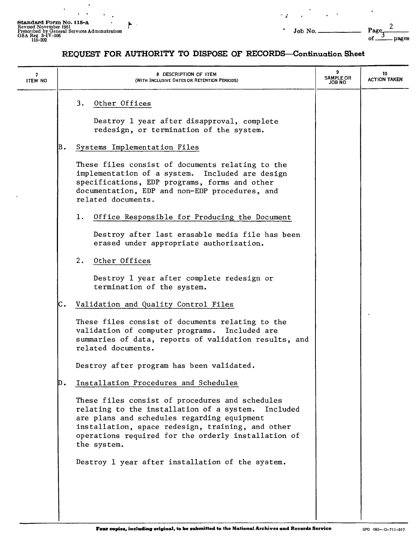$\ddot{\phantom{a}}$ 

 $\ddot{\phantom{a}}$  $\ddot{\phantom{a}}$ 

 $\frac{1}{2}$  ,  $\frac{1}{2}$ 

*- J*

2

ó.

## REQUEST FOR AUTHORITY TO DISPOSE OF RECORDS-Continuation Sheet

| 7<br><b>ITEM NO</b> | 8 DESCRIPTION OF ITEM<br>(WITH INCLUSIVE DATES OR RETENTION PERIODS)                                                                                                                                                                                                            | 9<br><b>SAMPLE OR</b><br>JOB NO | 10<br><b>ACTION TAKEN</b> |
|---------------------|---------------------------------------------------------------------------------------------------------------------------------------------------------------------------------------------------------------------------------------------------------------------------------|---------------------------------|---------------------------|
|                     | Other Offices<br>3.<br>Destroy 1 year after disapproval, complete<br>redesign, or termination of the system.                                                                                                                                                                    |                                 |                           |
|                     | B.<br>Systems Implementation Files                                                                                                                                                                                                                                              |                                 |                           |
|                     | These files consist of documents relating to the<br>implementation of a system. Included are design<br>specifications, EDP programs, forms and other<br>documentation, EDP and non-EDP procedures, and<br>related documents.                                                    |                                 |                           |
|                     | 1.<br>Office Responsible for Producing the Document                                                                                                                                                                                                                             |                                 |                           |
|                     | Destroy after last erasable media file has been<br>erased under appropriate authorization.                                                                                                                                                                                      |                                 |                           |
|                     | 2.<br>Other Offices                                                                                                                                                                                                                                                             |                                 |                           |
|                     | Destroy 1 year after complete redesign or<br>termination of the system.                                                                                                                                                                                                         |                                 |                           |
|                     | C.<br>Validation and Quality Control Files                                                                                                                                                                                                                                      |                                 |                           |
|                     | These files consist of documents relating to the<br>validation of computer programs. Included are<br>summaries of data, reports of validation results, and<br>related documents.                                                                                                |                                 |                           |
|                     | Destroy after program has been validated.                                                                                                                                                                                                                                       |                                 |                           |
|                     | Installation Procedures and Schedules                                                                                                                                                                                                                                           |                                 |                           |
|                     | These files consist of procedures and schedules<br>relating to the installation of a system. Included<br>are plans and schedules regarding equipment<br>installation, space redesign, training, and other<br>operations required for the orderly installation of<br>the system. |                                 |                           |
|                     | Destroy 1 year after installation of the system.                                                                                                                                                                                                                                |                                 |                           |
|                     |                                                                                                                                                                                                                                                                                 |                                 |                           |

I